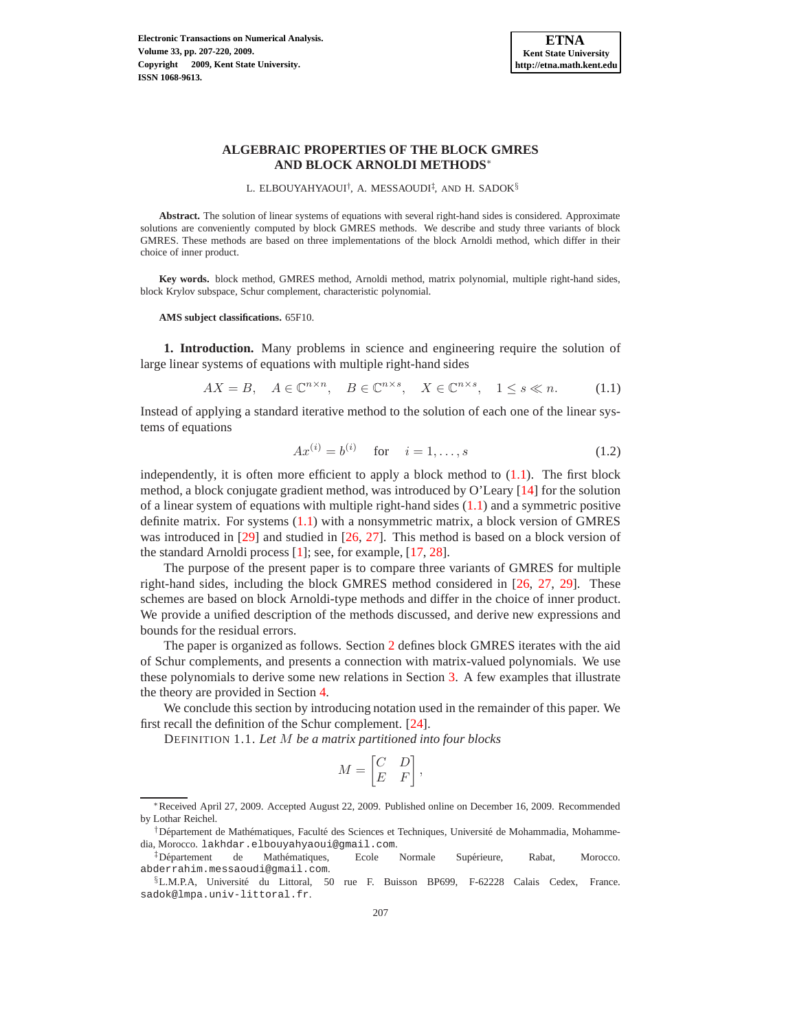

L. ELBOUYAHYAOUI<sup>†</sup>, A. MESSAOUDI<sup>‡</sup>, AND H. SADOK<sup>§</sup>

**Abstract.** The solution of linear systems of equations with several right-hand sides is considered. Approximate solutions are conveniently computed by block GMRES methods. We describe and study three variants of block GMRES. These methods are based on three implementations of the block Arnoldi method, which differ in their choice of inner product.

**Key words.** block method, GMRES method, Arnoldi method, matrix polynomial, multiple right-hand sides, block Krylov subspace, Schur complement, characteristic polynomial.

**AMS subject classifications.** 65F10.

**1. Introduction.** Many problems in science and engineering require the solution of large linear systems of equations with multiple right-hand sides

<span id="page-0-0"></span>
$$
AX = B, \quad A \in \mathbb{C}^{n \times n}, \quad B \in \mathbb{C}^{n \times s}, \quad X \in \mathbb{C}^{n \times s}, \quad 1 \le s \ll n. \tag{1.1}
$$

Instead of applying a standard iterative method to the solution of each one of the linear systems of equations

<span id="page-0-1"></span>
$$
Ax^{(i)} = b^{(i)} \quad \text{for} \quad i = 1, \dots, s \tag{1.2}
$$

independently, it is often more efficient to apply a block method to  $(1.1)$ . The first block method, a block conjugate gradient method, was introduced by O'Leary [\[14](#page-13-0)] for the solution of a linear system of equations with multiple right-hand sides  $(1.1)$  and a symmetric positive definite matrix. For systems [\(1.1\)](#page-0-0) with a nonsymmetric matrix, a block version of GMRES was introduced in [\[29\]](#page-13-1) and studied in [\[26,](#page-13-2) [27](#page-13-3)]. This method is based on a block version of the standard Arnoldi process [\[1\]](#page-13-4); see, for example, [\[17](#page-13-5), [28](#page-13-6)].

The purpose of the present paper is to compare three variants of GMRES for multiple right-hand sides, including the block GMRES method considered in [\[26,](#page-13-2) [27,](#page-13-3) [29](#page-13-1)]. These schemes are based on block Arnoldi-type methods and differ in the choice of inner product. We provide a unified description of the methods discussed, and derive new expressions and bounds for the residual errors.

The paper is organized as follows. Section [2](#page-1-0) defines block GMRES iterates with the aid of Schur complements, and presents a connection with matrix-valued polynomials. We use these polynomials to derive some new relations in Section [3.](#page-7-0) A few examples that illustrate the theory are provided in Section [4.](#page-10-0)

We conclude this section by introducing notation used in the remainder of this paper. We first recall the definition of the Schur complement. [\[24](#page-13-7)].

DEFINITION 1.1. *Let* M *be a matrix partitioned into four blocks*

$$
M = \begin{bmatrix} C & D \\ E & F \end{bmatrix},
$$

<sup>∗</sup>Received April 27, 2009. Accepted August 22, 2009. Published online on December 16, 2009. Recommended by Lothar Reichel.

<sup>&</sup>lt;sup>†</sup>Département de Mathématiques, Faculté des Sciences et Techniques, Université de Mohammadia, Mohammedia, Morocco. lakhdar.elbouyahyaoui@gmail.com.

<sup>‡</sup>Département de Mathématiques, Ecole Normale Supérieure, Rabat, Morocco. abderrahim.messaoudi@gmail.com.

<sup>§</sup>L.M.P.A, Université du Littoral, 50 rue F. Buisson BP699, F-62228 Calais Cedex, France. sadok@lmpa.univ-littoral.fr.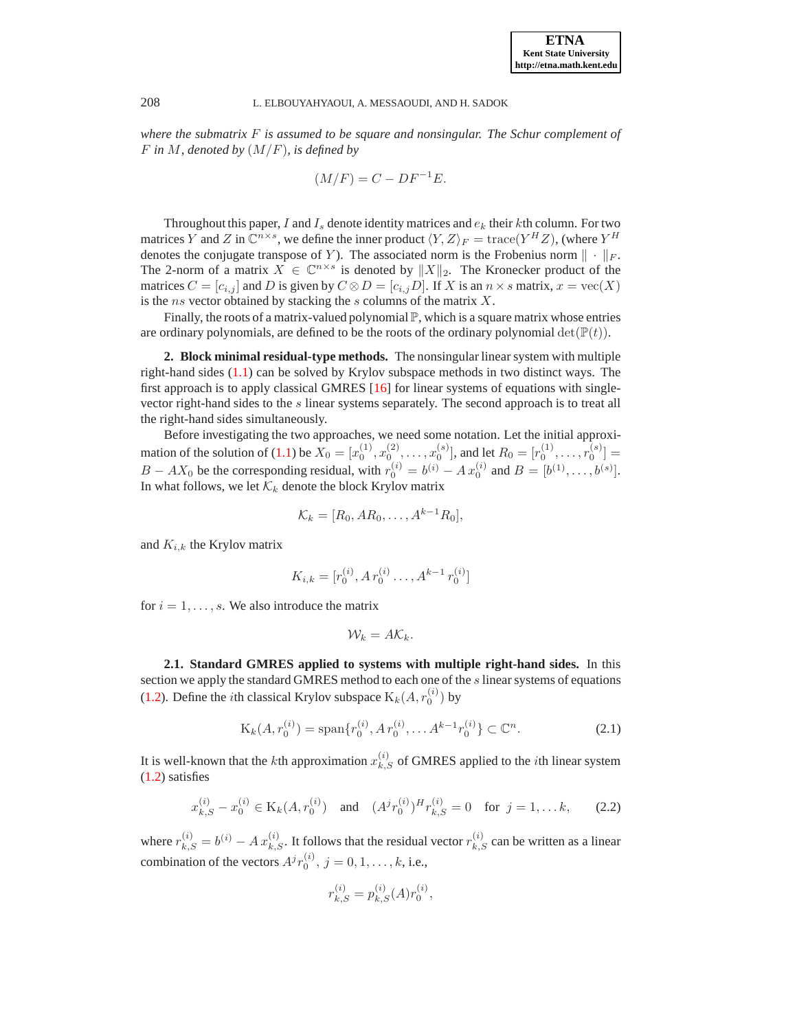*where the submatrix* F *is assumed to be square and nonsingular. The Schur complement of* F *in* M*, denoted by* (M/F)*, is defined by*

$$
(M/F) = C - DF^{-1}E.
$$

Throughout this paper, I and  $I_s$  denote identity matrices and  $e_k$  their kth column. For two matrices Y and Z in  $\mathbb{C}^{n \times s}$ , we define the inner product  $\langle Y, Z \rangle_F = \text{trace}(Y^H Z)$ , (where  $Y^H$ denotes the conjugate transpose of Y). The associated norm is the Frobenius norm  $\|\cdot\|_F$ . The 2-norm of a matrix  $X \in \mathbb{C}^{n \times s}$  is denoted by  $||X||_2$ . The Kronecker product of the matrices  $C = [c_{i,j}]$  and D is given by  $C \otimes D = [c_{i,j}D]$ . If X is an  $n \times s$  matrix,  $x = \text{vec}(X)$ is the ns vector obtained by stacking the  $s$  columns of the matrix  $X$ .

Finally, the roots of a matrix-valued polynomial  $\mathbb P$ , which is a square matrix whose entries are ordinary polynomials, are defined to be the roots of the ordinary polynomial  $\det(\mathbb{P}(t))$ .

<span id="page-1-0"></span>**2. Block minimal residual-type methods.** The nonsingular linear system with multiple right-hand sides [\(1.1\)](#page-0-0) can be solved by Krylov subspace methods in two distinct ways. The first approach is to apply classical GMRES [\[16](#page-13-8)] for linear systems of equations with singlevector right-hand sides to the s linear systems separately. The second approach is to treat all the right-hand sides simultaneously.

Before investigating the two approaches, we need some notation. Let the initial approxi-mation of the solution of [\(1.1\)](#page-0-0) be  $X_0 = [x_0^{(1)}, x_0^{(2)}, \dots, x_0^{(s)}]$ , and let  $R_0 = [r_0^{(1)}, \dots, r_0^{(s)}] =$  $B - AX_0$  be the corresponding residual, with  $r_0^{(i)} = b^{(i)} - Ax_0^{(i)}$  and  $B = [b^{(1)}, \dots, b^{(s)}]$ . In what follows, we let  $\mathcal{K}_k$  denote the block Krylov matrix

$$
\mathcal{K}_k=[R_0,AR_0,\ldots,A^{k-1}R_0],
$$

and  $K_{i,k}$  the Krylov matrix

$$
K_{i,k} = [r_0^{(i)}, A r_0^{(i)} \dots, A^{k-1} r_0^{(i)}]
$$

for  $i = 1, \ldots, s$ . We also introduce the matrix

$$
\mathcal{W}_k = A \mathcal{K}_k.
$$

**2.1. Standard GMRES applied to systems with multiple right-hand sides.** In this section we apply the standard GMRES method to each one of the  $s$  linear systems of equations [\(1.2\)](#page-0-1). Define the *i*th classical Krylov subspace  $K_k(A, r_0^{(i)})$  by

$$
K_k(A, r_0^{(i)}) = \text{span}\{r_0^{(i)}, A r_0^{(i)}, \dots A^{k-1} r_0^{(i)}\} \subset \mathbb{C}^n. \tag{2.1}
$$

It is well-known that the *k*th approximation  $x_{k,S}^{(i)}$  of GMRES applied to the *i*th linear system [\(1.2\)](#page-0-1) satisfies

$$
x_{k,S}^{(i)} - x_0^{(i)} \in \mathcal{K}_k(A, r_0^{(i)}) \quad \text{and} \quad (A^j r_0^{(i)})^H r_{k,S}^{(i)} = 0 \quad \text{for } j = 1, \dots k,
$$
 (2.2)

where  $r_{k,S}^{(i)} = b^{(i)} - A x_{k,S}^{(i)}$ . It follows that the residual vector  $r_{k,S}^{(i)}$  can be written as a linear combination of the vectors  $A^j r_0^{(i)}$ ,  $j = 0, 1, \dots, k$ , i.e.,

$$
r_{k,S}^{(i)} = p_{k,S}^{(i)}(A)r_0^{(i)},
$$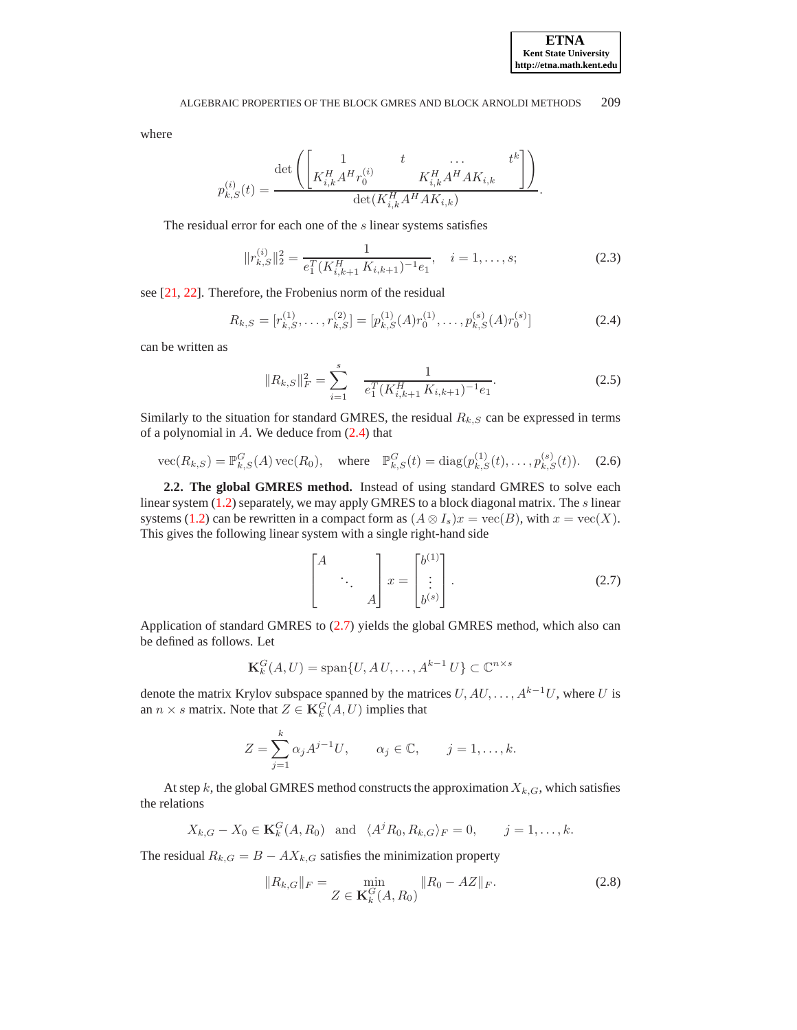where

$$
p_{k,S}^{(i)}(t) = \frac{\det\left(\begin{bmatrix} 1 & t & \dots & t^k \\ K_{i,k}^H A^H r_0^{(i)} & K_{i,k}^H A^H A K_{i,k} & \end{bmatrix}\right)}{\det(K_{i,k}^H A^H A K_{i,k})}.
$$

The residual error for each one of the s linear systems satisfies

<span id="page-2-3"></span>
$$
||r_{k,S}^{(i)}||_2^2 = \frac{1}{e_1^T (K_{i,k+1}^H K_{i,k+1})^{-1} e_1}, \quad i = 1, \dots, s; \tag{2.3}
$$

see [\[21,](#page-13-9) [22](#page-13-10)]. Therefore, the Frobenius norm of the residual

<span id="page-2-0"></span>
$$
R_{k,S} = [r_{k,S}^{(1)}, \dots, r_{k,S}^{(2)}] = [p_{k,S}^{(1)}(A)r_0^{(1)}, \dots, p_{k,S}^{(s)}(A)r_0^{(s)}]
$$
(2.4)

can be written as

<span id="page-2-4"></span>
$$
||R_{k,S}||_F^2 = \sum_{i=1}^s \frac{1}{e_1^T (K_{i,k+1}^H K_{i,k+1})^{-1} e_1}.
$$
 (2.5)

Similarly to the situation for standard GMRES, the residual  $R_{k,S}$  can be expressed in terms of a polynomial in  $A$ . We deduce from  $(2.4)$  that

vec
$$
(R_{k,S}) = \mathbb{P}^G_{k,S}(A) \text{ vec}(R_0), \text{ where } \mathbb{P}^G_{k,S}(t) = \text{diag}(p_{k,S}^{(1)}(t), \dots, p_{k,S}^{(s)}(t)).
$$
 (2.6)

**2.2. The global GMRES method.** Instead of using standard GMRES to solve each linear system  $(1.2)$  separately, we may apply GMRES to a block diagonal matrix. The s linear systems [\(1.2\)](#page-0-1) can be rewritten in a compact form as  $(A \otimes I_s)x = \text{vec}(B)$ , with  $x = \text{vec}(X)$ . This gives the following linear system with a single right-hand side

<span id="page-2-1"></span>
$$
\begin{bmatrix} A & & \\ & \ddots & \\ & & A \end{bmatrix} x = \begin{bmatrix} b^{(1)} \\ \vdots \\ b^{(s)} \end{bmatrix} .
$$
 (2.7)

Application of standard GMRES to [\(2.7\)](#page-2-1) yields the global GMRES method, which also can be defined as follows. Let

$$
\mathbf{K}_k^G(A, U) = \text{span}\{U, A U, \dots, A^{k-1} U\} \subset \mathbb{C}^{n \times s}
$$

denote the matrix Krylov subspace spanned by the matrices  $U, AU, \ldots, A^{k-1}U$ , where U is an  $n \times s$  matrix. Note that  $Z \in \mathbf{K}_k^G(A, U)$  implies that

$$
Z = \sum_{j=1}^{k} \alpha_j A^{j-1} U, \qquad \alpha_j \in \mathbb{C}, \qquad j = 1, \dots, k.
$$

At step k, the global GMRES method constructs the approximation  $X_{k,G}$ , which satisfies the relations

$$
X_{k,G} - X_0 \in \mathbf{K}_k^G(A, R_0)
$$
 and  $\langle A^j R_0, R_{k,G} \rangle_F = 0$ ,  $j = 1, ..., k$ .

The residual  $R_{k,G} = B - AX_{k,G}$  satisfies the minimization property

<span id="page-2-2"></span>
$$
||R_{k,G}||_F = \min_{Z \in \mathbf{K}_k^G(A, R_0)} ||R_0 - AZ||_F.
$$
 (2.8)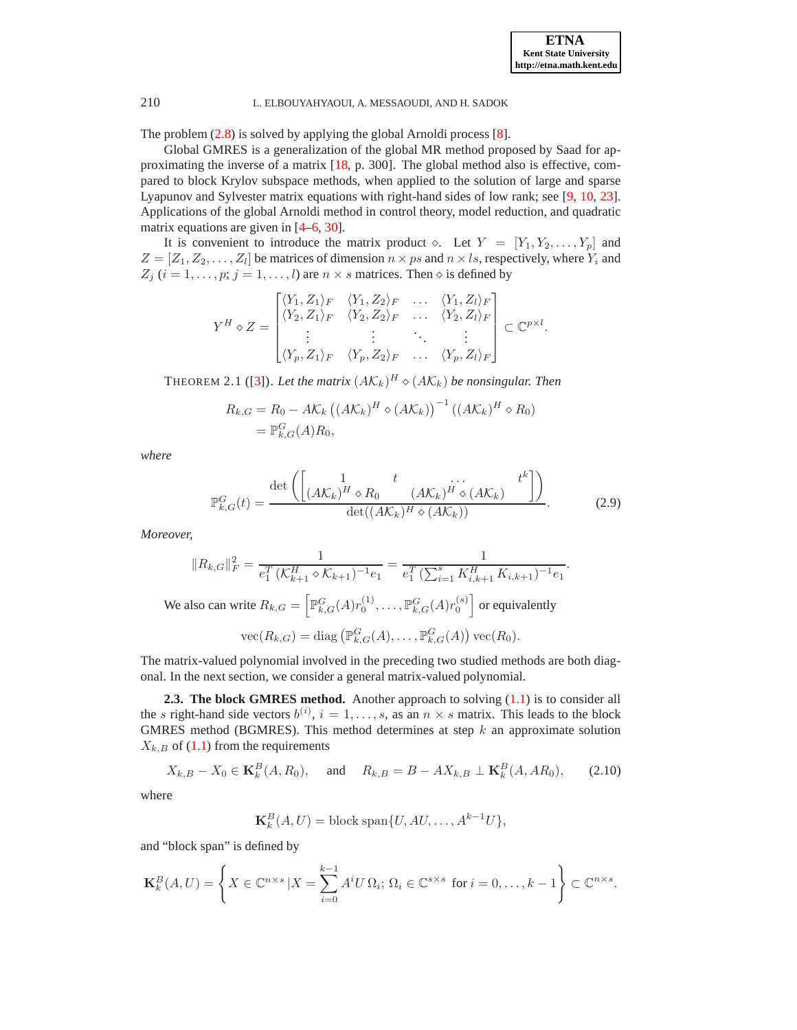.

## 210 L. ELBOUYAHYAOUI, A. MESSAOUDI, AND H. SADOK

The problem [\(2.8\)](#page-2-2) is solved by applying the global Arnoldi process [\[8\]](#page-13-11).

Global GMRES is a generalization of the global MR method proposed by Saad for approximating the inverse of a matrix [\[18](#page-13-12), p. 300]. The global method also is effective, compared to block Krylov subspace methods, when applied to the solution of large and sparse Lyapunov and Sylvester matrix equations with right-hand sides of low rank; see [\[9,](#page-13-13) [10,](#page-13-14) [23](#page-13-15)]. Applications of the global Arnoldi method in control theory, model reduction, and quadratic matrix equations are given in [\[4](#page-13-16)[–6,](#page-13-17) [30\]](#page-13-18).

It is convenient to introduce the matrix product  $\diamond$ . Let  $Y = [Y_1, Y_2, \ldots, Y_p]$  and  $Z = [Z_1, Z_2, \dots, Z_l]$  be matrices of dimension  $n \times ps$  and  $n \times ls$ , respectively, where  $Y_i$  and  $Z_j$  ( $i = 1, \ldots, p; j = 1, \ldots, l$ ) are  $n \times s$  matrices. Then  $\diamond$  is defined by

$$
Y^H \diamond Z = \begin{bmatrix} \langle Y_1, Z_1 \rangle_F & \langle Y_1, Z_2 \rangle_F & \dots & \langle Y_1, Z_l \rangle_F \\ \langle Y_2, Z_1 \rangle_F & \langle Y_2, Z_2 \rangle_F & \dots & \langle Y_2, Z_l \rangle_F \\ \vdots & \vdots & \ddots & \vdots \\ \langle Y_p, Z_1 \rangle_F & \langle Y_p, Z_2 \rangle_F & \dots & \langle Y_p, Z_l \rangle_F \end{bmatrix} \subset \mathbb{C}^{p \times l}.
$$

THEOREM 2.1 ([\[3](#page-13-19)]). Let the matrix  $(AK_k)^H \diamond (AK_k)$  be nonsingular. Then

$$
R_{k,G} = R_0 - A\mathcal{K}_k \left( (A\mathcal{K}_k)^H \diamond (A\mathcal{K}_k) \right)^{-1} \left( (A\mathcal{K}_k)^H \diamond R_0 \right)
$$
  
=  $\mathbb{P}_{k,G}^G(A)R_0$ ,

*where*

$$
\mathbb{P}_{k,G}^G(t) = \frac{\det\left(\begin{bmatrix} 1 & t & \cdots & t^k \\ (AK_k)^H \diamond R_0 & (AK_k)^H \diamond (AK_k) \end{bmatrix}\right)}{\det((AK_k)^H \diamond (AK_k))}.
$$
(2.9)

*Moreover,*

$$
||R_{k,G}||_F^2 = \frac{1}{e_1^T \left(\mathcal{K}_{k+1}^H \diamond \mathcal{K}_{k+1}\right)^{-1} e_1} = \frac{1}{e_1^T \left(\sum_{i=1}^s K_{i,k+1}^H K_{i,k+1}\right)^{-1} e_1}
$$
  
We also can write  $R_{k,G} = \left[\mathbb{P}_{k,G}^G(A)r_0^{(1)}, \dots, \mathbb{P}_{k,G}^G(A)r_0^{(s)}\right]$  or equivalently  

$$
\text{vec}(R_{k,G}) = \text{diag}\left(\mathbb{P}_{k,G}^G(A), \dots, \mathbb{P}_{k,G}^G(A)\right) \text{vec}(R_0).
$$

The matrix-valued polynomial involved in the preceding two studied methods are both diagonal. In the next section, we consider a general matrix-valued polynomial.

**2.3. The block GMRES method.** Another approach to solving [\(1.1\)](#page-0-0) is to consider all the *s* right-hand side vectors  $b^{(i)}$ ,  $i = 1, ..., s$ , as an  $n \times s$  matrix. This leads to the block GMRES method (BGMRES). This method determines at step  $k$  an approximate solution  $X_{k,B}$  of [\(1.1\)](#page-0-0) from the requirements

$$
X_{k,B} - X_0 \in \mathbf{K}_k^B(A, R_0)
$$
, and  $R_{k,B} = B - AX_{k,B} \perp \mathbf{K}_k^B(A, AR_0)$ , (2.10)

where

$$
\mathbf{K}_k^B(A, U) = \text{block span}\{U, AU, \dots, A^{k-1}U\},\
$$

and "block span" is defined by

$$
\mathbf{K}_k^B(A, U) = \left\{ X \in \mathbb{C}^{n \times s} \, | X = \sum_{i=0}^{k-1} A^i U \, \Omega_i; \, \Omega_i \in \mathbb{C}^{s \times s} \text{ for } i = 0, \dots, k-1 \right\} \subset \mathbb{C}^{n \times s}.
$$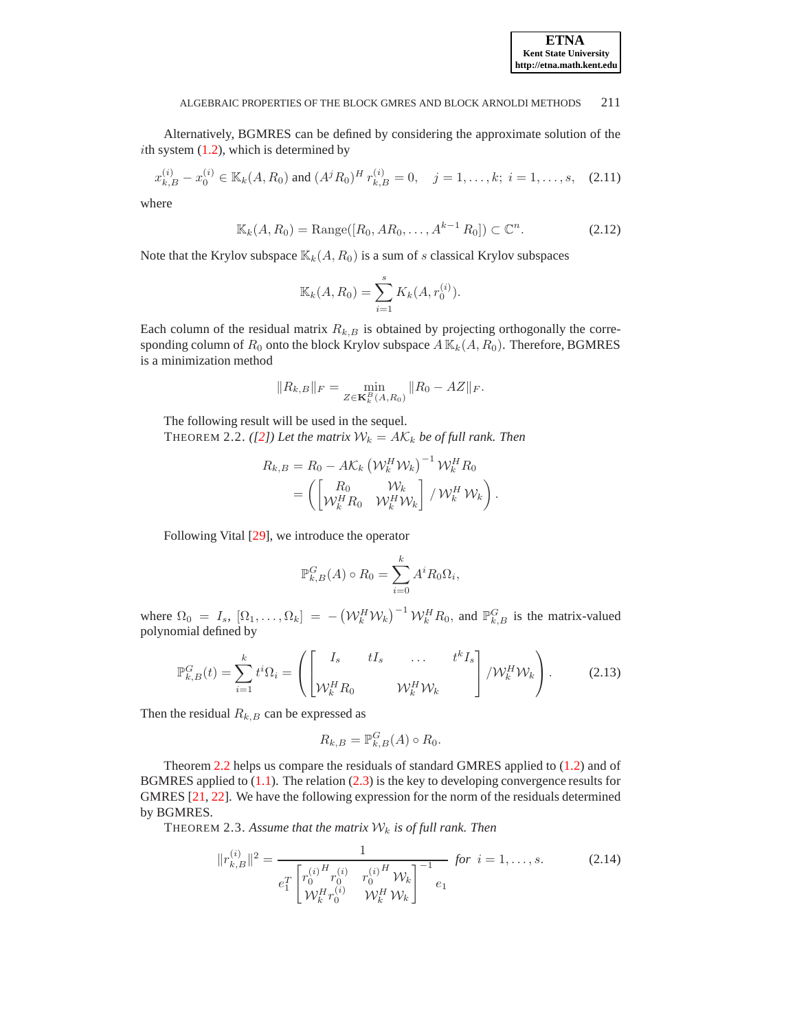Alternatively, BGMRES can be defined by considering the approximate solution of the ith system  $(1.2)$ , which is determined by

$$
x_{k,B}^{(i)} - x_0^{(i)} \in \mathbb{K}_k(A, R_0) \text{ and } (A^j R_0)^H r_{k,B}^{(i)} = 0, \quad j = 1, \dots, k; \ i = 1, \dots, s, \quad (2.11)
$$

where

$$
\mathbb{K}_k(A, R_0) = \text{Range}([R_0, AR_0, \dots, A^{k-1} R_0]) \subset \mathbb{C}^n. \tag{2.12}
$$

Note that the Krylov subspace  $\mathbb{K}_k(A, R_0)$  is a sum of s classical Krylov subspaces

$$
\mathbb{K}_k(A, R_0) = \sum_{i=1}^s K_k(A, r_0^{(i)}).
$$

Each column of the residual matrix  $R_{k,B}$  is obtained by projecting orthogonally the corresponding column of  $R_0$  onto the block Krylov subspace  $A \mathbb{K}_k(A, R_0)$ . Therefore, BGMRES is a minimization method

$$
||R_{k,B}||_F = \min_{Z \in \mathbf{K}_k^B(A,R_0)} ||R_0 - AZ||_F.
$$

<span id="page-4-0"></span>The following result will be used in the sequel. THEOREM 2.2. *(*[\[2\]](#page-13-20)*)* Let the matrix  $W_k = AK_k$  be of full rank. Then

$$
R_{k,B} = R_0 - A\mathcal{K}_k \left(\mathcal{W}_k^H \mathcal{W}_k\right)^{-1} \mathcal{W}_k^H R_0
$$
  
= 
$$
\left( \begin{bmatrix} R_0 & \mathcal{W}_k \\ \mathcal{W}_k^H R_0 & \mathcal{W}_k^H \mathcal{W}_k \end{bmatrix} / \mathcal{W}_k^H \mathcal{W}_k \right).
$$

Following Vital [\[29](#page-13-1)], we introduce the operator

$$
\mathbb{P}_{k,B}^G(A) \circ R_0 = \sum_{i=0}^k A^i R_0 \Omega_i,
$$

where  $\Omega_0 = I_s$ ,  $[\Omega_1, \dots, \Omega_k] = -(\mathcal{W}_k^H \mathcal{W}_k)^{-1} \mathcal{W}_k^H R_0$ , and  $\mathbb{P}_{k,B}^G$  is the matrix-valued polynomial defined by

$$
\mathbb{P}_{k,B}^G(t) = \sum_{i=1}^k t^i \Omega_i = \left( \begin{bmatrix} I_s & tI_s & \dots & t^k I_s \\ \mathcal{W}_k^H R_0 & \mathcal{W}_k^H \mathcal{W}_k \end{bmatrix} / \mathcal{W}_k^H \mathcal{W}_k \right). \tag{2.13}
$$

Then the residual  $R_{k,B}$  can be expressed as

$$
R_{k,B} = \mathbb{P}_{k,B}^G(A) \circ R_0.
$$

Theorem [2.2](#page-4-0) helps us compare the residuals of standard GMRES applied to [\(1.2\)](#page-0-1) and of BGMRES applied to  $(1.1)$ . The relation  $(2.3)$  is the key to developing convergence results for GMRES [\[21,](#page-13-9) [22\]](#page-13-10). We have the following expression for the norm of the residuals determined by BGMRES.

THEOREM 2.3. Assume that the matrix  $W_k$  is of full rank. Then

$$
||r_{k,B}^{(i)}||^2 = \frac{1}{e_1^T \begin{bmatrix} r_0^{(i)} & r_0^{(i)} & r_0^{(i)H} & \mathcal{W}_k \\ \mathcal{W}_k^H r_0^{(i)} & \mathcal{W}_k^H & \mathcal{W}_k \end{bmatrix}^{-1}} \text{ for } i = 1, ..., s. \tag{2.14}
$$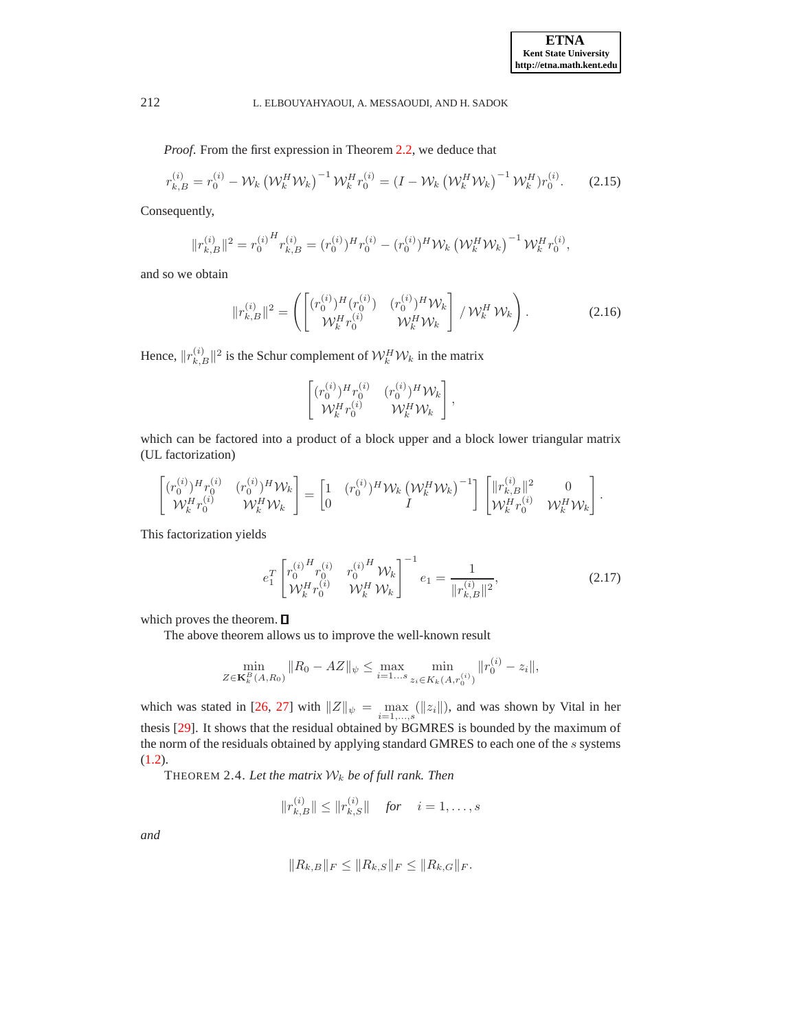*Proof*. From the first expression in Theorem [2.2,](#page-4-0) we deduce that

$$
r_{k,B}^{(i)} = r_0^{(i)} - \mathcal{W}_k \left( \mathcal{W}_k^H \mathcal{W}_k \right)^{-1} \mathcal{W}_k^H r_0^{(i)} = \left( I - \mathcal{W}_k \left( \mathcal{W}_k^H \mathcal{W}_k \right)^{-1} \mathcal{W}_k^H \right) r_0^{(i)}.
$$
 (2.15)

Consequently,

$$
||r_{k,B}^{(i)}||^{2} = r_{0}^{(i)H} r_{k,B}^{(i)} = (r_{0}^{(i)})^{H} r_{0}^{(i)} - (r_{0}^{(i)})^{H} W_{k} (\mathcal{W}_{k}^{H} W_{k})^{-1} W_{k}^{H} r_{0}^{(i)},
$$

and so we obtain

$$
||r_{k,B}^{(i)}||^2 = \left( \begin{bmatrix} (r_0^{(i)})^H (r_0^{(i)}) & (r_0^{(i)})^H \mathcal{W}_k \\ \mathcal{W}_k^H r_0^{(i)} & \mathcal{W}_k^H \mathcal{W}_k \end{bmatrix} / \mathcal{W}_k^H \mathcal{W}_k \right). \tag{2.16}
$$

Hence,  $||r_{k,B}^{(i)}||^2$  is the Schur complement of  $\mathcal{W}_k^H \mathcal{W}_k$  in the matrix

$$
\begin{bmatrix} (r_0^{(i)})^H r_0^{(i)} & (r_0^{(i)})^H \mathcal{W}_k \\ \mathcal{W}_k^H r_0^{(i)} & \mathcal{W}_k^H \mathcal{W}_k \end{bmatrix},
$$

which can be factored into a product of a block upper and a block lower triangular matrix (UL factorization)

$$
\begin{bmatrix} (r_0^{(i)})^H r_0^{(i)} & (r_0^{(i)})^H \mathcal{W}_k \\ \mathcal{W}_k^H r_0^{(i)} & \mathcal{W}_k^H \mathcal{W}_k \end{bmatrix} = \begin{bmatrix} 1 & (r_0^{(i)})^H \mathcal{W}_k \left(\mathcal{W}_k^H \mathcal{W}_k\right)^{-1} \\ 0 & I \end{bmatrix} \begin{bmatrix} \|r_{k,B}^{(i)}\|^2 & 0 \\ \mathcal{W}_k^H r_0^{(i)} & \mathcal{W}_k^H \mathcal{W}_k \end{bmatrix}.
$$

This factorization yields

$$
e_1^T \begin{bmatrix} r_0^{(i)} \, \frac{H}{r_0^{(i)}} & r_0^{(i)} \, \frac{H}{r_0^{(i)}} & W_k \end{bmatrix}^{-1} e_1 = \frac{1}{\|r_{k,B}^{(i)}\|^2},\tag{2.17}
$$

which proves the theorem.  $\square$ 

The above theorem allows us to improve the well-known result

$$
\min_{Z \in \mathbf{K}_k^B(A, R_0)} \|R_0 - AZ\|_{\psi} \le \max_{i=1...s} \min_{z_i \in K_k(A, r_0^{(i)})} \|r_0^{(i)} - z_i\|,
$$

which was stated in [\[26,](#page-13-2) [27](#page-13-3)] with  $||Z||_{\psi} = \max_{i=1,\dots,s} (||z_i||)$ , and was shown by Vital in her thesis [\[29\]](#page-13-1). It shows that the residual obtained by BGMRES is bounded by the maximum of the norm of the residuals obtained by applying standard GMRES to each one of the s systems [\(1.2\)](#page-0-1).

THEOREM 2.4. *Let the matrix* W<sup>k</sup> *be of full rank. Then*

$$
||r_{k,B}^{(i)}|| \leq ||r_{k,S}^{(i)}||
$$
 for  $i = 1, ..., s$ 

*and*

$$
||R_{k,B}||_F \leq ||R_{k,S}||_F \leq ||R_{k,G}||_F.
$$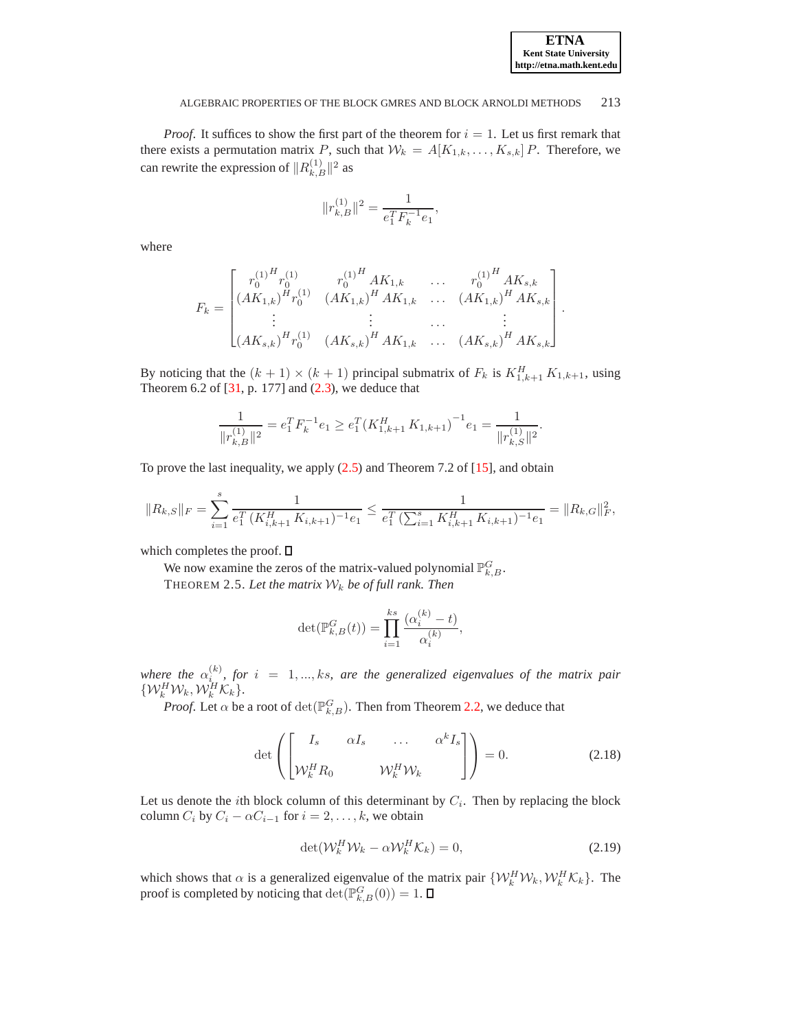*Proof.* It suffices to show the first part of the theorem for  $i = 1$ . Let us first remark that there exists a permutation matrix P, such that  $W_k = A[K_{1,k}, \ldots, K_{s,k}]$  P. Therefore, we can rewrite the expression of  $||R_{k,B}^{(1)}||^2$  as

$$
||r_{k,B}^{(1)}||^2 = \frac{1}{e_1^T F_k^{-1} e_1},
$$

where

$$
F_{k} = \begin{bmatrix} r_{0}^{(1)H} r_{0}^{(1)} & r_{0}^{(1)H} AK_{1,k} & \dots & r_{0}^{(1)H} AK_{s,k} \\ (AK_{1,k})^{H} r_{0}^{(1)} & (AK_{1,k})^{H} AK_{1,k} & \dots & (AK_{1,k})^{H} AK_{s,k} \\ \vdots & \vdots & \dots & \vdots \\ (AK_{s,k})^{H} r_{0}^{(1)} & (AK_{s,k})^{H} AK_{1,k} & \dots & (AK_{s,k})^{H} AK_{s,k} \end{bmatrix}.
$$

By noticing that the  $(k + 1) \times (k + 1)$  principal submatrix of  $F_k$  is  $K_{1,k+1}^H K_{1,k+1}$ , using Theorem 6.2 of  $[31, p. 177]$  and  $(2.3)$ , we deduce that

$$
\frac{1}{\|r_{k,B}^{(1)}\|^2} = e_1^T F_k^{-1} e_1 \ge e_1^T (K_{1,k+1}^H K_{1,k+1})^{-1} e_1 = \frac{1}{\|r_{k,S}^{(1)}\|^2}.
$$

To prove the last inequality, we apply [\(2.5\)](#page-2-4) and Theorem 7.2 of [\[15](#page-13-22)], and obtain

$$
||R_{k,S}||_F = \sum_{i=1}^s \frac{1}{e_1^T (K_{i,k+1}^H K_{i,k+1})^{-1} e_1} \le \frac{1}{e_1^T (\sum_{i=1}^s K_{i,k+1}^H K_{i,k+1})^{-1} e_1} = ||R_{k,G}||_F^2,
$$

which completes the proof.  $\square$ 

We now examine the zeros of the matrix-valued polynomial  $\mathbb{P}^G_{k,B}$ . THEOREM 2.5. Let the matrix  $W_k$  be of full rank. Then

$$
\det(\mathbb{P}_{k,B}^G(t)) = \prod_{i=1}^{ks} \frac{(\alpha_i^{(k)} - t)}{\alpha_i^{(k)}},
$$

where the  $\alpha_{i_{\infty}}^{(k)}$ , for  $i = 1, ..., ks$ , are the generalized eigenvalues of the matrix pair  $\{ \mathcal{W}_k^H \mathcal{W}_k, \mathcal{W}_k^H \mathcal{K}_k \}.$ 

*Proof.* Let  $\alpha$  be a root of  $\det(\mathbb{P}_{k,B}^G)$ . Then from Theorem [2.2,](#page-4-0) we deduce that

$$
\det\left(\begin{bmatrix} I_s & \alpha I_s & \dots & \alpha^k I_s \\ \mathcal{W}_k^H R_0 & \mathcal{W}_k^H \mathcal{W}_k \end{bmatrix}\right) = 0.
$$
 (2.18)

Let us denote the *i*th block column of this determinant by  $C_i$ . Then by replacing the block column  $C_i$  by  $C_i - \alpha C_{i-1}$  for  $i = 2, \ldots, k$ , we obtain

$$
\det(\mathcal{W}_k^H \mathcal{W}_k - \alpha \mathcal{W}_k^H \mathcal{K}_k) = 0, \tag{2.19}
$$

which shows that  $\alpha$  is a generalized eigenvalue of the matrix pair  $\{W_k^H W_k, W_k^H K_k\}$ . The proof is completed by noticing that  $\det(\mathbb{P}^G_{k,B}(0)) = 1$ .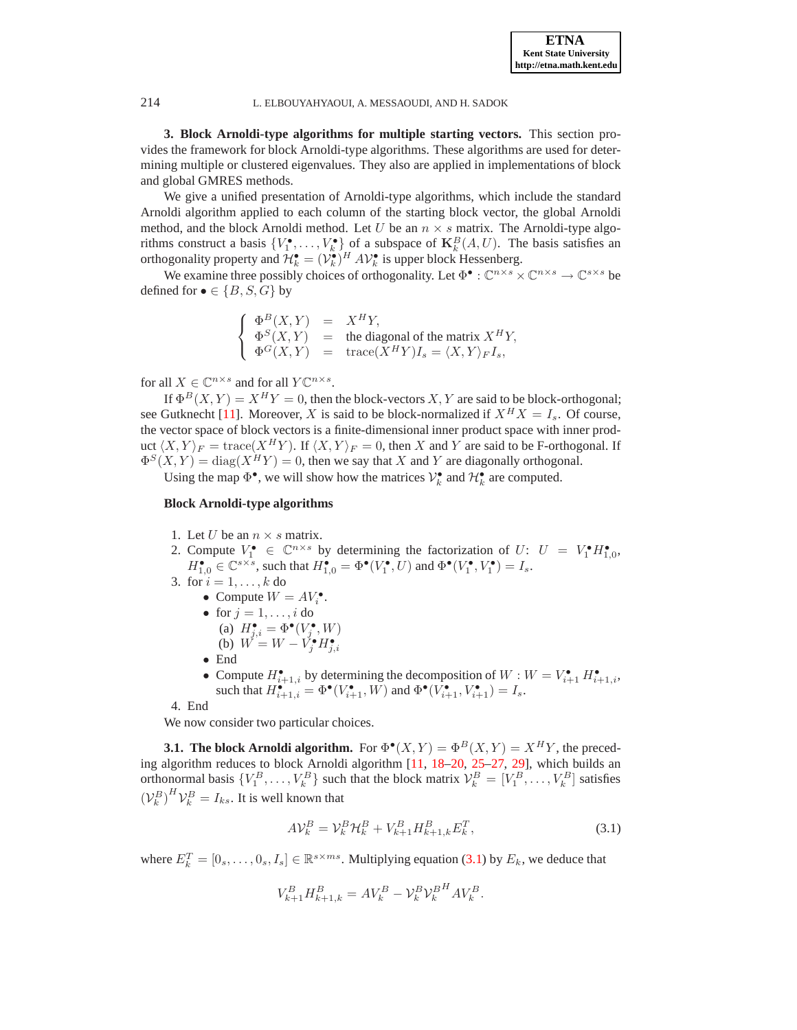<span id="page-7-0"></span>**3. Block Arnoldi-type algorithms for multiple starting vectors.** This section provides the framework for block Arnoldi-type algorithms. These algorithms are used for determining multiple or clustered eigenvalues. They also are applied in implementations of block and global GMRES methods.

We give a unified presentation of Arnoldi-type algorithms, which include the standard Arnoldi algorithm applied to each column of the starting block vector, the global Arnoldi method, and the block Arnoldi method. Let U be an  $n \times s$  matrix. The Arnoldi-type algorithms construct a basis  $\{V_1^{\bullet}, \ldots, V_k^{\bullet}\}$  of a subspace of  $\mathbf{K}_k^B(A, U)$ . The basis satisfies an orthogonality property and  $\mathcal{H}_k^{\bullet} = (\mathcal{V}_k^{\bullet})^H A \mathcal{V}_k^{\bullet}$  is upper block Hessenberg.

We examine three possibly choices of orthogonality. Let  $\Phi^{\bullet} : \mathbb{C}^{n \times s} \times \mathbb{C}^{n \times s} \to \mathbb{C}^{s \times s}$  be defined for  $\bullet \in \{B, S, G\}$  by

$$
\left\{ \begin{array}{rcl} \Phi^B(X,Y) &=& X^H Y, \\ \Phi^S(X,Y) &=& \text{the diagonal of the matrix } X^H Y, \\ \Phi^G(X,Y) &=& \text{trace}(X^H Y) I_s = \langle X,Y \rangle_F I_s, \end{array} \right.
$$

for all  $X \in \mathbb{C}^{n \times s}$  and for all  $Y \mathbb{C}^{n \times s}$ .

If  $\Phi^B(X, Y) = X^H Y = 0$ , then the block-vectors X, Y are said to be block-orthogonal; see Gutknecht [\[11](#page-13-23)]. Moreover, X is said to be block-normalized if  $X^H X = I_s$ . Of course, the vector space of block vectors is a finite-dimensional inner product space with inner product  $\langle X, Y \rangle_F = \text{trace}(X^H Y)$ . If  $\langle X, Y \rangle_F = 0$ , then X and Y are said to be F-orthogonal. If  $\Phi^{S}(X,Y) = \text{diag}(X^{H}Y) = 0$ , then we say that X and Y are diagonally orthogonal.

Using the map  $\Phi^{\bullet}$ , we will show how the matrices  $\mathcal{V}_k^{\bullet}$  and  $\mathcal{H}_k^{\bullet}$  are computed.

## **Block Arnoldi-type algorithms**

- 1. Let U be an  $n \times s$  matrix.
- 2. Compute  $V_1^{\bullet} \in \mathbb{C}^{n \times s}$  by determining the factorization of  $U: U = V_1^{\bullet} H_{1,0}^{\bullet}$ ,  $H_{1,0}^{\bullet} \in \mathbb{C}^{s \times s}$ , such that  $H_{1,0}^{\bullet} = \Phi^{\bullet}(V_1^{\bullet}, U)$  and  $\Phi^{\bullet}(V_1^{\bullet}, V_1^{\bullet}) = I_s$ .
- 3. for  $i = 1, \ldots, k$  do
	- Compute  $W = AV_i^{\bullet}$ .
	- for  $j = 1, ..., i$  do (a)  $H_{j,i}^{\bullet} = \Phi^{\bullet}(V_j^{\bullet}, W)$
	- (b)  $W = W V_j^{\bullet} H_{j,i}^{\bullet}$
	- End
	- Compute  $H_{i+1,i}^{\bullet}$  by determining the decomposition of  $W: W = V_{i+1}^{\bullet} H_{i+1,i}^{\bullet}$ , such that  $H_{i+1,i}^{\bullet} = \Phi^{\bullet}(V_{i+1}^{\bullet}, W)$  and  $\Phi^{\bullet}(V_{i+1}^{\bullet}, V_{i+1}^{\bullet}) = I_s$ .

4. End

We now consider two particular choices.

**3.1. The block Arnoldi algorithm.** For  $\Phi^{\bullet}(X, Y) = \Phi^B(X, Y) = X^H Y$ , the preceding algorithm reduces to block Arnoldi algorithm [\[11,](#page-13-23) [18](#page-13-12)[–20,](#page-13-24) [25–](#page-13-25)[27,](#page-13-3) [29](#page-13-1)], which builds an orthonormal basis  $\{V_1^B,\ldots,V_k^B\}$  such that the block matrix  $\mathcal{V}_k^B = [V_1^B,\ldots,V_k^B]$  satisfies  $(\mathcal{V}_k^B)^H \mathcal{V}_k^B = I_{ks}$ . It is well known that

<span id="page-7-1"></span>
$$
AV_k^B = V_k^B \mathcal{H}_k^B + V_{k+1}^B H_{k+1,k}^B E_k^T, \tag{3.1}
$$

where  $E_k^T = [0_s, \dots, 0_s, I_s] \in \mathbb{R}^{s \times ms}$ . Multiplying equation [\(3.1\)](#page-7-1) by  $E_k$ , we deduce that

$$
V_{k+1}^BH_{k+1,k}^B=AV_k^B-\mathcal{V}_k^B\mathcal{V}_k^{B^H}AV_k^B.
$$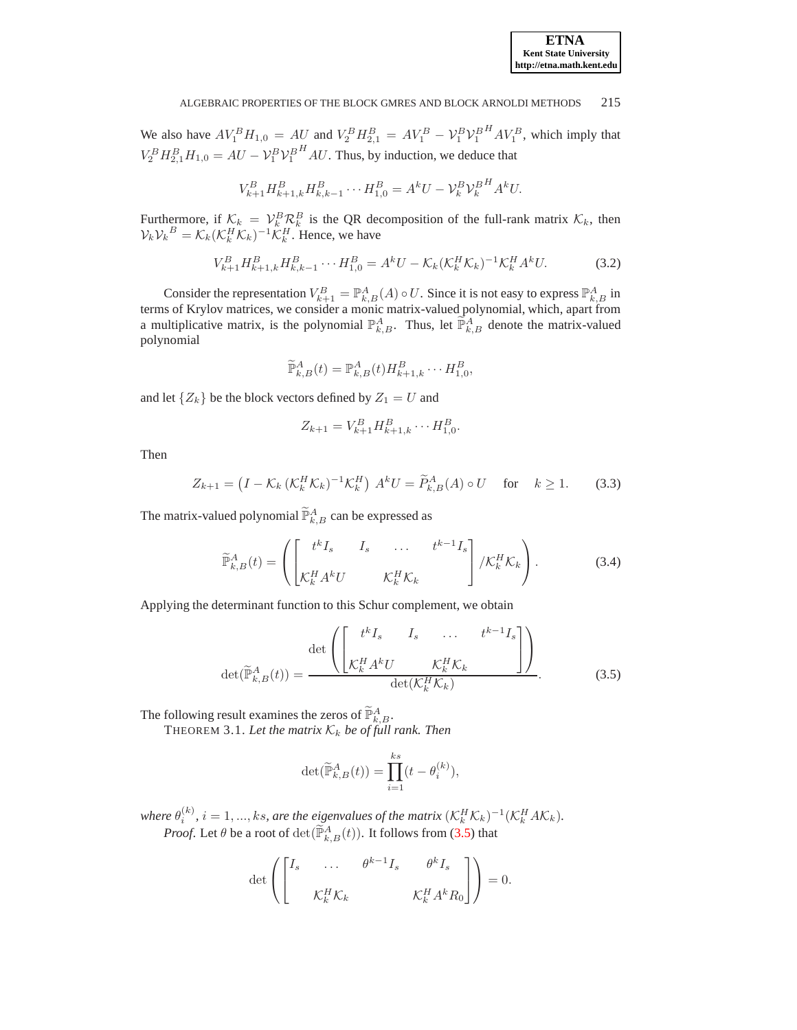We also have  $AV_1^B H_{1,0} = AU$  and  $V_2^B H_{2,1}^B = AV_1^B - V_1^B V_1^B$  $H A V_1^B$ , which imply that  $V_2^B H_{2,1}^B H_{1,0} = AU - V_1^B V_1^B$  $H<sup>H</sup> AU$ . Thus, by induction, we deduce that

$$
V_{k+1}^{B} H_{k+1,k}^{B} H_{k,k-1}^{B} \cdots H_{1,0}^{B} = A^{k} U - V_{k}^{B} V_{k}^{B} A^{k} U.
$$

Furthermore, if  $K_k = V_k^B \mathcal{R}_k^B$  is the QR decomposition of the full-rank matrix  $K_k$ , then  $V_k V_k^B = \mathcal{K}_k (\mathcal{K}_k^H \mathcal{K}_k)^{-1} \tilde{\mathcal{K}}_k^H$ . Hence, we have

$$
V_{k+1}^{B} H_{k+1,k}^{B} H_{k,k-1}^{B} \cdots H_{1,0}^{B} = A^{k} U - \mathcal{K}_{k} (\mathcal{K}_{k}^{H} \mathcal{K}_{k})^{-1} \mathcal{K}_{k}^{H} A^{k} U.
$$
 (3.2)

Consider the representation  $V_{k+1}^B = \mathbb{P}_{k,B}^A(A) \circ U$ . Since it is not easy to express  $\mathbb{P}_{k,B}^A$  in terms of Krylov matrices, we consider a monic matrix-valued polynomial, which, apart from a multiplicative matrix, is the polynomial  $\mathbb{P}_{k,B}^A$ . Thus, let  $\widetilde{\mathbb{P}}_{k,B}^A$  denote the matrix-valued polynomial

$$
\widetilde{\mathbb{P}}^A_{k,B}(t)=\mathbb{P}^A_{k,B}(t)H^B_{k+1,k}\cdots H^B_{1,0},
$$

and let  $\{Z_k\}$  be the block vectors defined by  $Z_1 = U$  and

$$
Z_{k+1} = V_{k+1}^B H_{k+1,k}^B \cdots H_{1,0}^B.
$$

Then

$$
Z_{k+1} = \left(I - \mathcal{K}_k \left(\mathcal{K}_k^H \mathcal{K}_k\right)^{-1} \mathcal{K}_k^H\right) A^k U = \widetilde{P}_{k,B}^A(A) \circ U \quad \text{for} \quad k \ge 1. \tag{3.3}
$$

The matrix-valued polynomial  $\widetilde{P}_{k,B}^{A}$  can be expressed as

$$
\widetilde{\mathbb{P}}_{k,B}^{A}(t) = \left( \begin{bmatrix} t^{k} I_{s} & I_{s} & \dots & t^{k-1} I_{s} \\ \mathcal{K}_{k}^{H} A^{k} U & \mathcal{K}_{k}^{H} \mathcal{K}_{k} \end{bmatrix} / \mathcal{K}_{k}^{H} \mathcal{K}_{k} \right). \tag{3.4}
$$

Applying the determinant function to this Schur complement, we obtain

<span id="page-8-0"></span>
$$
\det(\widetilde{\mathbb{P}}_{k,B}^{A}(t)) = \frac{\det\left(\begin{bmatrix} t^{k}I_{s} & I_{s} & \dots & t^{k-1}I_{s} \\ \mathcal{K}_{k}^{H}A^{k}U & \mathcal{K}_{k}^{H}\mathcal{K}_{k} \\ \det(\mathcal{K}_{k}^{H}\mathcal{K}_{k}) \end{bmatrix}\right)}{\det(\mathcal{K}_{k}^{H}\mathcal{K}_{k})}.
$$
(3.5)

The following result examines the zeros of  $\widetilde{\mathbb{P}}_{k,B}^A$ .

det

THEOREM 3.1. Let the matrix  $\mathcal{K}_k$  be of full rank. Then

$$
\det(\widetilde{\mathbb{P}}_{k,B}^{A}(t)) = \prod_{i=1}^{ks} (t - \theta_i^{(k)}),
$$

where  $\theta_i^{(k)}$ ,  $i = 1, ..., ks$ , are the eigenvalues of the matrix  $(\mathcal{K}_k^H \mathcal{K}_k)^{-1} (\mathcal{K}_k^H A \mathcal{K}_k)$ . *Proof.* Let  $\theta$  be a root of  $\det(\widetilde{\mathbb{P}}_{k,B}^{A}(t))$ . It follows from [\(3.5\)](#page-8-0) that

$$
\det \left( \begin{bmatrix} I_s & \dots & \theta^{k-1} I_s & \theta^k I_s \\ & \mathcal{K}_k^H \mathcal{K}_k & & \mathcal{K}_k^H A^k R_0 \end{bmatrix} \right) = 0.
$$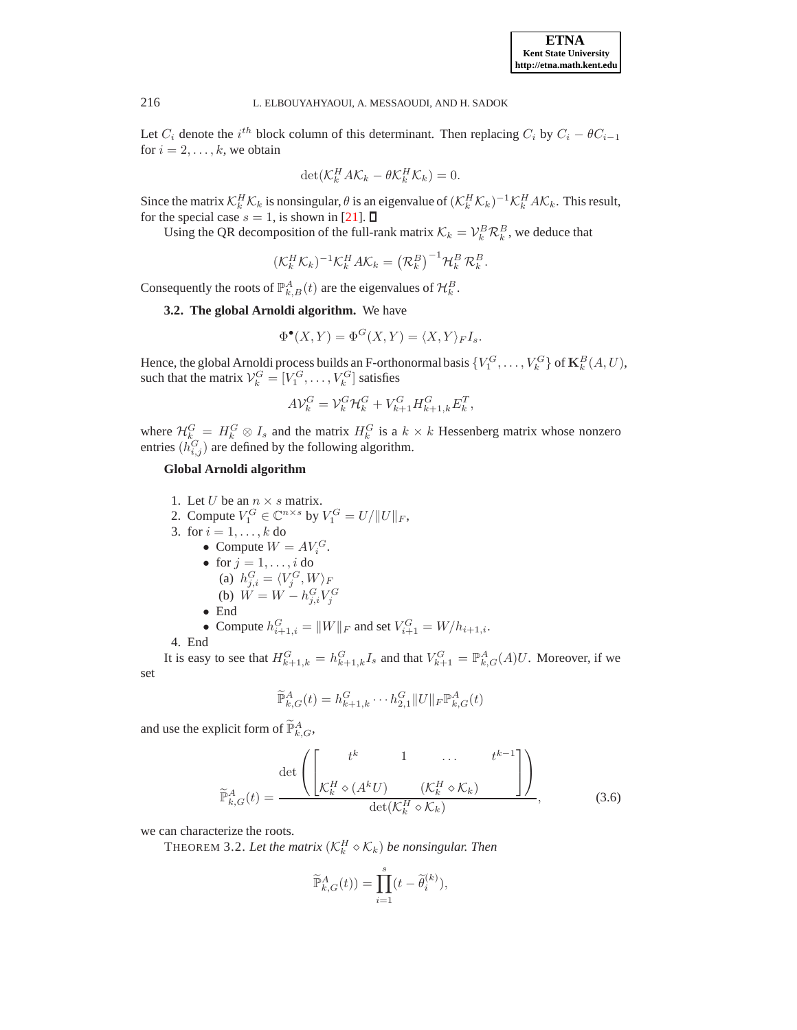Let  $C_i$  denote the  $i^{th}$  block column of this determinant. Then replacing  $C_i$  by  $C_i - \theta C_{i-1}$ for  $i = 2, \ldots, k$ , we obtain

$$
\det(\mathcal{K}_k^H A \mathcal{K}_k - \theta \mathcal{K}_k^H \mathcal{K}_k) = 0.
$$

Since the matrix  $\mathcal{K}_k^H \mathcal{K}_k$  is nonsingular,  $\theta$  is an eigenvalue of  $(\mathcal{K}_k^H \mathcal{K}_k)^{-1} \mathcal{K}_k^H A \mathcal{K}_k$ . This result, for the special case  $s = 1$ , is shown in [\[21\]](#page-13-9).  $\Box$ 

Using the QR decomposition of the full-rank matrix  $\mathcal{K}_k = \mathcal{V}_k^B \mathcal{R}_k^B$ , we deduce that

$$
(\mathcal{K}_k^H \mathcal{K}_k)^{-1} \mathcal{K}_k^H A \mathcal{K}_k = (\mathcal{R}_k^B)^{-1} \mathcal{H}_k^B \mathcal{R}_k^B.
$$

Consequently the roots of  $\mathbb{P}_{k,B}^A(t)$  are the eigenvalues of  $\mathcal{H}_k^B$ .

**3.2. The global Arnoldi algorithm.** We have

$$
\Phi^{\bullet}(X,Y) = \Phi^G(X,Y) = \langle X,Y \rangle_F I_s.
$$

Hence, the global Arnoldi process builds an F-orthonormal basis  $\{V_1^G, \ldots, V_k^G\}$  of  $\mathbf{K}_k^B(A, U)$ , such that the matrix  $\mathcal{V}_k^G = [V_1^G, \dots, V_k^G]$  satisfies

$$
A\mathcal{V}_k^G = \mathcal{V}_k^G \mathcal{H}_k^G + V_{k+1}^G H_{k+1,k}^G E_k^T,
$$

where  $\mathcal{H}_k^G = H_k^G \otimes I_s$  and the matrix  $H_k^G$  is a  $k \times k$  Hessenberg matrix whose nonzero entries  $(h_{i,j}^G)$  are defined by the following algorithm.

# **Global Arnoldi algorithm**

1. Let U be an  $n \times s$  matrix. 2. Compute  $V_1^G \in \mathbb{C}^{n \times s}$  by  $V_1^G = U / ||U||_F$ , 3. for  $i = 1, ..., k$  do • Compute  $W = AV_i^G$ . • for  $j = 1, \ldots, i$  do (a)  $h_{j,i}^G = \langle V_j^G, W \rangle_F$ (b)  $W = W - h_{j,i}^G V_j^G$ • End • Compute  $h_{i+1,i}^G = ||W||_F$  and set  $V_{i+1}^G = W/h_{i+1,i}$ .

4. End

It is easy to see that  $H_{k+1,k}^G = h_{k+1,k}^G I_s$  and that  $V_{k+1}^G = \mathbb{P}_{k,G}^A(A)U$ . Moreover, if we set

$$
\widetilde{\mathbb{P}}_{k,G}^A(t) = h_{k+1,k}^G \cdots h_{2,1}^G ||U||_F \mathbb{P}_{k,G}^A(t)
$$

and use the explicit form of  $\widetilde{P}_{k,G}^A$ ,

$$
\widetilde{\mathbb{P}}_{k,G}^{A}(t) = \frac{\det\left(\begin{bmatrix} t^{k} & 1 & \cdots & t^{k-1} \\ \mathcal{K}_{k}^{H} \diamond (A^{k}U) & (\mathcal{K}_{k}^{H} \diamond \mathcal{K}_{k}) & \end{bmatrix}\right)}{\det(\mathcal{K}_{k}^{H} \diamond \mathcal{K}_{k})},
$$
\n(3.6)

we can characterize the roots.

THEOREM 3.2. Let the matrix  $(\mathcal{K}_k^H \diamond \mathcal{K}_k)$  be nonsingular. Then

$$
\widetilde{\mathbb{P}}_{k,G}^{A}(t)) = \prod_{i=1}^{s} (t - \widetilde{\theta}_{i}^{(k)}),
$$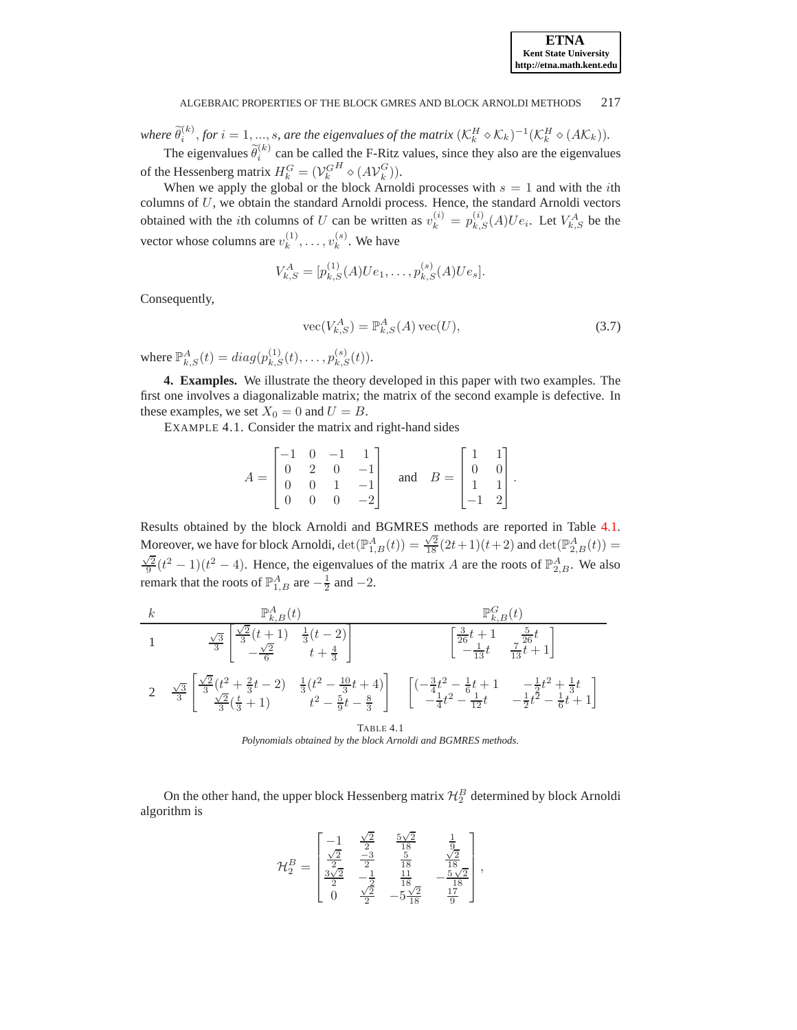

where  $\widetilde{\theta}_i^{(k)}$ , for  $i = 1, ..., s$ , are the eigenvalues of the matrix  $(\mathcal{K}_k^H \diamond \mathcal{K}_k)^{-1}(\mathcal{K}_k^H \diamond (A \mathcal{K}_k)).$ 

The eigenvalues  $\tilde{\theta}_i^{(k)}$  can be called the F-Ritz values, since they also are the eigenvalues of the Hessenberg matrix  $H_k^G = (\mathcal{V}_k^G)$  $H \otimes (A \mathcal{V}_k^G)$  $\binom{G}{k}$ .

When we apply the global or the block Arnoldi processes with  $s = 1$  and with the *i*th columns of  $U$ , we obtain the standard Arnoldi process. Hence, the standard Arnoldi vectors obtained with the *i*th columns of U can be written as  $v_k^{(i)} = p_{k,S}^{(i)}(A)Ue_i$ . Let  $V_{k,S}^A$  be the vector whose columns are  $v_k^{(1)}, \ldots, v_k^{(s)}$ . We have

$$
V_{k,S}^A = [p_{k,S}^{(1)}(A)Ue_1, \ldots, p_{k,S}^{(s)}(A)Ue_s].
$$

Consequently,

$$
\text{vec}(V_{k,S}^A) = \mathbb{P}_{k,S}^A(A)\,\text{vec}(U),\tag{3.7}
$$

where  $\mathbb{P}^{A}_{k,S}(t) = diag(p_{k,S}^{(1)}(t), \ldots, p_{k,S}^{(s)}(t)).$ 

<span id="page-10-0"></span>**4. Examples.** We illustrate the theory developed in this paper with two examples. The first one involves a diagonalizable matrix; the matrix of the second example is defective. In these examples, we set  $X_0 = 0$  and  $U = B$ .

EXAMPLE 4.1. Consider the matrix and right-hand sides

|  |  | $A = \begin{bmatrix} -1 & 0 & -1 & 1 \\ 0 & 2 & 0 & -1 \\ 0 & 0 & 1 & -1 \\ 0 & 0 & 0 & -2 \end{bmatrix}$ and $B = \begin{bmatrix} 1 & 1 \\ 0 & 0 \\ 1 & 1 \\ -1 & 2 \end{bmatrix}$ . |  |  |
|--|--|---------------------------------------------------------------------------------------------------------------------------------------------------------------------------------------|--|--|
|  |  |                                                                                                                                                                                       |  |  |

Results obtained by the block Arnoldi and BGMRES methods are reported in Table [4.1.](#page-10-1) Moreover, we have for block Arnoldi,  $\det(\mathbb{P}_{1,B}^{A}(t)) = \frac{\sqrt{2}}{18}(2t+1)(t+2)$  and  $\det(\mathbb{P}_{2,B}^{A}(t)) =$  $\frac{\sqrt{2}}{9}(t^2-1)(t^2-4)$ . Hence, the eigenvalues of the matrix A are the roots of  $\mathbb{P}_{2,B}^A$ . We also remark that the roots of  $\mathbb{P}^A_{1,B}$  are  $-\frac{1}{2}$  and  $-2$ .

k 
$$
\mathbb{P}_{k,B}^{A}(t)
$$
  
\n1  $\frac{\sqrt{3}}{3} \begin{bmatrix} \frac{\sqrt{2}}{3}(t+1) & \frac{1}{3}(t-2) \\ -\frac{\sqrt{2}}{6} & t+\frac{4}{3} \end{bmatrix}$   $\begin{bmatrix} \frac{3}{26}t+1 & \frac{5}{26}t \\ -\frac{1}{13}t & \frac{7}{13}t+1 \end{bmatrix}$   
\n2  $\frac{\sqrt{3}}{3} \begin{bmatrix} \frac{\sqrt{2}}{3}(t^{2}+\frac{2}{3}t-2) & \frac{1}{3}(t^{2}-\frac{10}{3}t+4) \\ \frac{\sqrt{2}}{3}(\frac{t}{3}+1) & t^{2}-\frac{5}{9}t-\frac{8}{3} \end{bmatrix}$   $\begin{bmatrix} (-\frac{3}{4}t^{2}-\frac{1}{6}t+1 & -\frac{1}{2}t^{2}+\frac{1}{3}t \\ -\frac{1}{4}t^{2}-\frac{1}{12}t & -\frac{1}{2}t^{2}-\frac{1}{6}t+1 \end{bmatrix}$   
\nTABLE 4.1

<span id="page-10-1"></span>*Polynomials obtained by the block Arnoldi and BGMRES methods.*

On the other hand, the upper block Hessenberg matrix  $\mathcal{H}_2^B$  determined by block Arnoldi algorithm is

$$
\mathcal{H}_2^B = \begin{bmatrix} -1 & \frac{\sqrt{2}}{2} & \frac{5\sqrt{2}}{18} & \frac{1}{9} \\ \frac{\sqrt{2}}{2} & \frac{-3}{2} & \frac{5}{18} & \frac{\sqrt{2}}{18} \\ \frac{3\sqrt{2}}{2} & -\frac{1}{2} & \frac{11}{18} & -\frac{5\sqrt{2}}{18} \\ 0 & \frac{\sqrt{2}}{2} & -5\frac{\sqrt{2}}{18} & \frac{17}{9} \end{bmatrix},
$$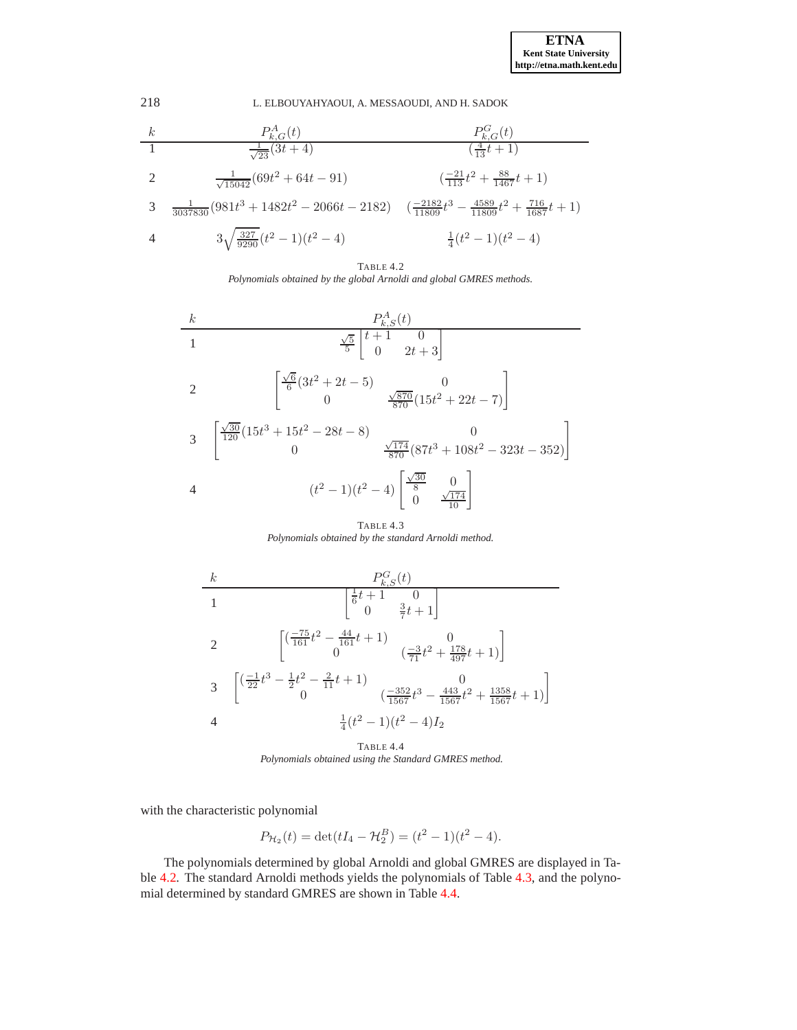| k | $P_{k,G}^A(t)$                                 | $P_{k,G}^G(t)$                                                       |
|---|------------------------------------------------|----------------------------------------------------------------------|
| 1 | $\frac{1}{\sqrt{23}}(3t+4)$                    | $\frac{1}{(\frac{4}{13}t+1)}$                                        |
| 2 | $\frac{1}{\sqrt{15042}}(69t^2+64t-91)$         | $\frac{-21}{113}t^2+\frac{88}{1467}t+1$                              |
| 3 | $\frac{1}{3037830}(981t^3+1482t^2-2066t-2182)$ | $\frac{-2182}{(11809}t^3-\frac{4589}{11809}t^2+\frac{716}{1687}t+1)$ |
| 4 | $3\sqrt{\frac{327}{9290}}(t^2-1)(t^2-4)$       | $\frac{1}{4}(t^2-1)(t^2-4)$                                          |

<span id="page-11-0"></span>



<span id="page-11-1"></span>TABLE 4.3 *Polynomials obtained by the standard Arnoldi method.*



<span id="page-11-2"></span>TABLE 4.4 *Polynomials obtained using the Standard GMRES method.*

with the characteristic polynomial

$$
P_{\mathcal{H}_2}(t) = \det(tI_4 - \mathcal{H}_2^B) = (t^2 - 1)(t^2 - 4).
$$

The polynomials determined by global Arnoldi and global GMRES are displayed in Table [4.2.](#page-11-0) The standard Arnoldi methods yields the polynomials of Table [4.3,](#page-11-1) and the polynomial determined by standard GMRES are shown in Table [4.4.](#page-11-2)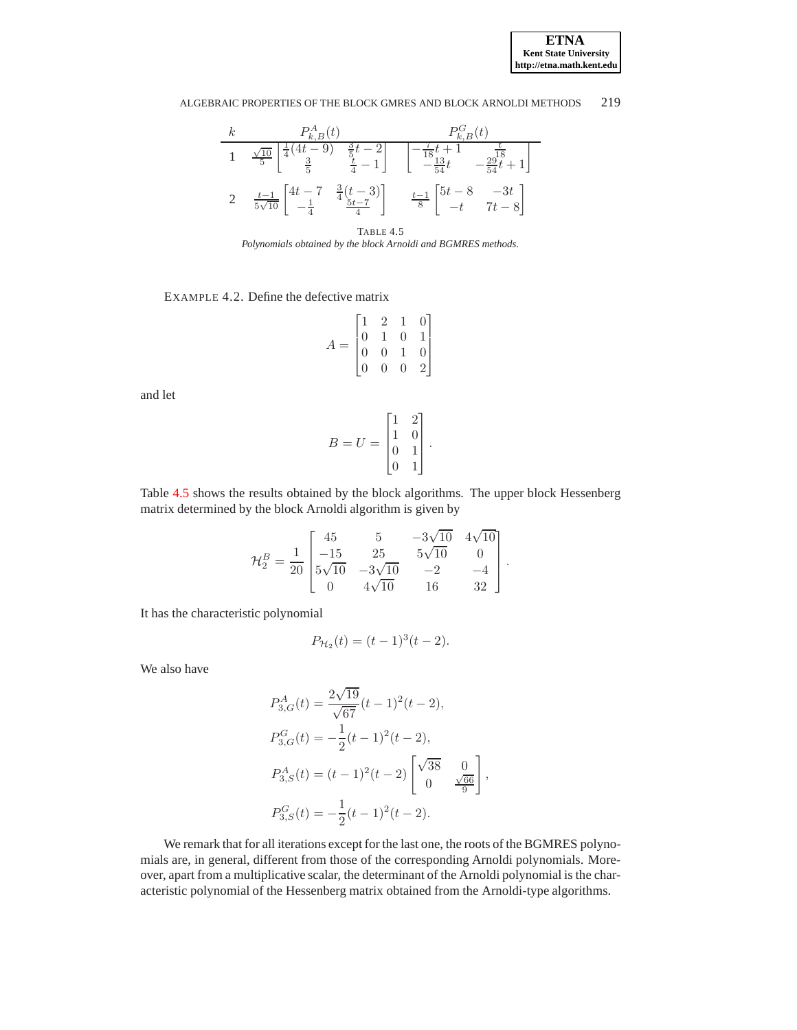**ETNA Kent State University http://etna.math.kent.edu**

### ALGEBRAIC PROPERTIES OF THE BLOCK GMRES AND BLOCK ARNOLDI METHODS 219



<span id="page-12-0"></span>TABLE 4.5 *Polynomials obtained by the block Arnoldi and BGMRES methods.*

EXAMPLE 4.2. Define the defective matrix

$$
A = \begin{bmatrix} 1 & 2 & 1 & 0 \\ 0 & 1 & 0 & 1 \\ 0 & 0 & 1 & 0 \\ 0 & 0 & 0 & 2 \end{bmatrix}
$$

and let

$$
B = U = \begin{bmatrix} 1 & 2 \\ 1 & 0 \\ 0 & 1 \\ 0 & 1 \end{bmatrix}.
$$

Table [4.5](#page-12-0) shows the results obtained by the block algorithms. The upper block Hessenberg matrix determined by the block Arnoldi algorithm is given by

$$
\mathcal{H}_2^B = \frac{1}{20} \begin{bmatrix} 45 & 5 & -3\sqrt{10} & 4\sqrt{10} \\ -15 & 25 & 5\sqrt{10} & 0 \\ 5\sqrt{10} & -3\sqrt{10} & -2 & -4 \\ 0 & 4\sqrt{10} & 16 & 32 \end{bmatrix}.
$$

It has the characteristic polynomial

$$
P_{\mathcal{H}_2}(t) = (t-1)^3(t-2).
$$

We also have

$$
P_{3,G}^{A}(t) = \frac{2\sqrt{19}}{\sqrt{67}}(t-1)^{2}(t-2),
$$
  
\n
$$
P_{3,G}^{G}(t) = -\frac{1}{2}(t-1)^{2}(t-2),
$$
  
\n
$$
P_{3,S}^{A}(t) = (t-1)^{2}(t-2)\begin{bmatrix} \sqrt{38} & 0\\ 0 & \frac{\sqrt{66}}{9} \end{bmatrix},
$$
  
\n
$$
P_{3,S}^{G}(t) = -\frac{1}{2}(t-1)^{2}(t-2).
$$

We remark that for all iterations except for the last one, the roots of the BGMRES polynomials are, in general, different from those of the corresponding Arnoldi polynomials. Moreover, apart from a multiplicative scalar, the determinant of the Arnoldi polynomial is the characteristic polynomial of the Hessenberg matrix obtained from the Arnoldi-type algorithms.